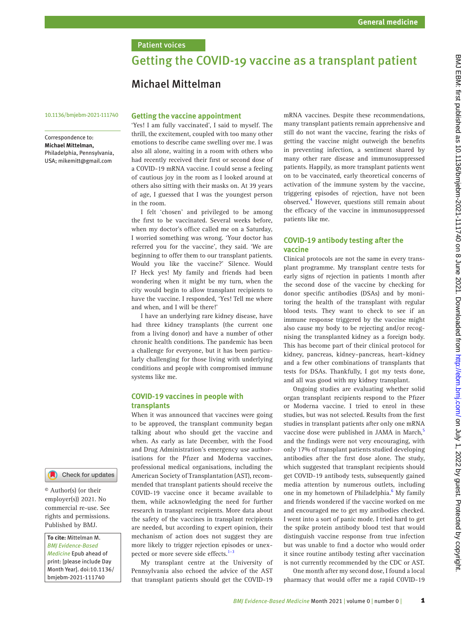# Patient voices

# Getting the COVID-19 vaccine as a transplant patient

Michael Mittelman

#### 10.1136/bmjebm-2021-111740

Correspondence to: *Michael Mittelman,* Philadelphia, Pennsylvania, USA; mikemitt@gmail.com

*To cite:* Mittelman M. *BMJ Evidence-Based Medicine* Epub ahead of print: [please include Day Month Year]. doi:10.1136/ bmjebm-2021-111740

© Author(s) (or their employer(s)) 2021. No commercial re-use. See rights and permissions. Published by BMJ.

Check for updates

#### **Getting the vaccine appointment**

'Yes! I am fully vaccinated', I said to myself. The thrill, the excitement, coupled with too many other emotions to describe came swelling over me. I was also all alone, waiting in a room with others who had recently received their first or second dose of a COVID-19 mRNA vaccine. I could sense a feeling of cautious joy in the room as I looked around at others also sitting with their masks on. At 39 years of age, I guessed that I was the youngest person in the room.

I felt 'chosen' and privileged to be among the first to be vaccinated. Several weeks before, when my doctor's office called me on a Saturday, I worried something was wrong. 'Your doctor has referred you for the vaccine', they said. 'We are beginning to offer them to our transplant patients. Would you like the vaccine?' Silence. Would I? Heck yes! My family and friends had been wondering when it might be my turn, when the city would begin to allow transplant recipients to have the vaccine. I responded, 'Yes! Tell me where and when, and I will be there!'

I have an underlying rare kidney disease, have had three kidney transplants (the current one from a living donor) and have a number of other chronic health conditions. The pandemic has been a challenge for everyone, but it has been particularly challenging for those living with underlying conditions and people with compromised immune systems like me.

### **COVID-19 vaccines in people with transplants**

When it was announced that vaccines were going to be approved, the transplant community began talking about who should get the vaccine and when. As early as late December, with the Food and Drug Administration's emergency use authorisations for the Pfizer and Moderna vaccines, professional medical organisations, including the American Society of Transplantation (AST), recommended that transplant patients should receive the COVID-19 vaccine once it became available to them, while acknowledging the need for further research in transplant recipients. More data about the safety of the vaccines in transplant recipients are needed, but according to expert opinion, their mechanism of action does not suggest they are more likely to trigger rejection episodes or unexpected or more severe side effects.<sup>1-3</sup>

My transplant centre at the University of Pennsylvania also echoed the advice of the AST that transplant patients should get the COVID-19

mRNA vaccines. Despite these recommendations, many transplant patients remain apprehensive and still do not want the vaccine, fearing the risks of getting the vaccine might outweigh the benefits in preventing infection, a sentiment shared by many other rare disease and immunosuppressed patients. Happily, as more transplant patients went on to be vaccinated, early theoretical concerns of activation of the immune system by the vaccine, triggering episodes of rejection, have not been observed.[4](#page-1-1) However, questions still remain about the efficacy of the vaccine in immunosuppressed patients like me.

# **COVID-19 antibody testing after the vaccine**

Clinical protocols are not the same in every transplant programme. My transplant centre tests for early signs of rejection in patients 1month after the second dose of the vaccine by checking for donor specific antibodies (DSAs) and by monitoring the health of the transplant with regular blood tests. They want to check to see if an immune response triggered by the vaccine might also cause my body to be rejecting and/or recognising the transplanted kidney as a foreign body. This has become part of their clinical protocol for kidney, pancreas, kidney–pancreas, heart–kidney and a few other combinations of transplants that tests for DSAs. Thankfully, I got my tests done, and all was good with my kidney transplant.

Ongoing studies are evaluating whether solid organ transplant recipients respond to the Pfizer or Moderna vaccine. I tried to enrol in these studies, but was not selected. Results from the first studies in transplant patients after only one mRNA vaccine dose were published in JAMA in March,<sup>[5](#page-1-2)</sup> and the findings were not very encouraging, with only 17% of transplant patients studied developing antibodies after the first dose alone. The study, which suggested that transplant recipients should get COVID-19 antibody tests, subsequently gained media attention by numerous outlets, including one in my hometown of Philadelphia.<sup>[6](#page-1-3)</sup> My family and friends wondered if the vaccine worked on me and encouraged me to get my antibodies checked. I went into a sort of panic mode. I tried hard to get the spike protein antibody blood test that would distinguish vaccine response from true infection but was unable to find a doctor who would order it since routine antibody testing after vaccination is not currently recommended by the CDC or AST.

One month after my second dose, I found a local pharmacy that would offer me a rapid COVID-19